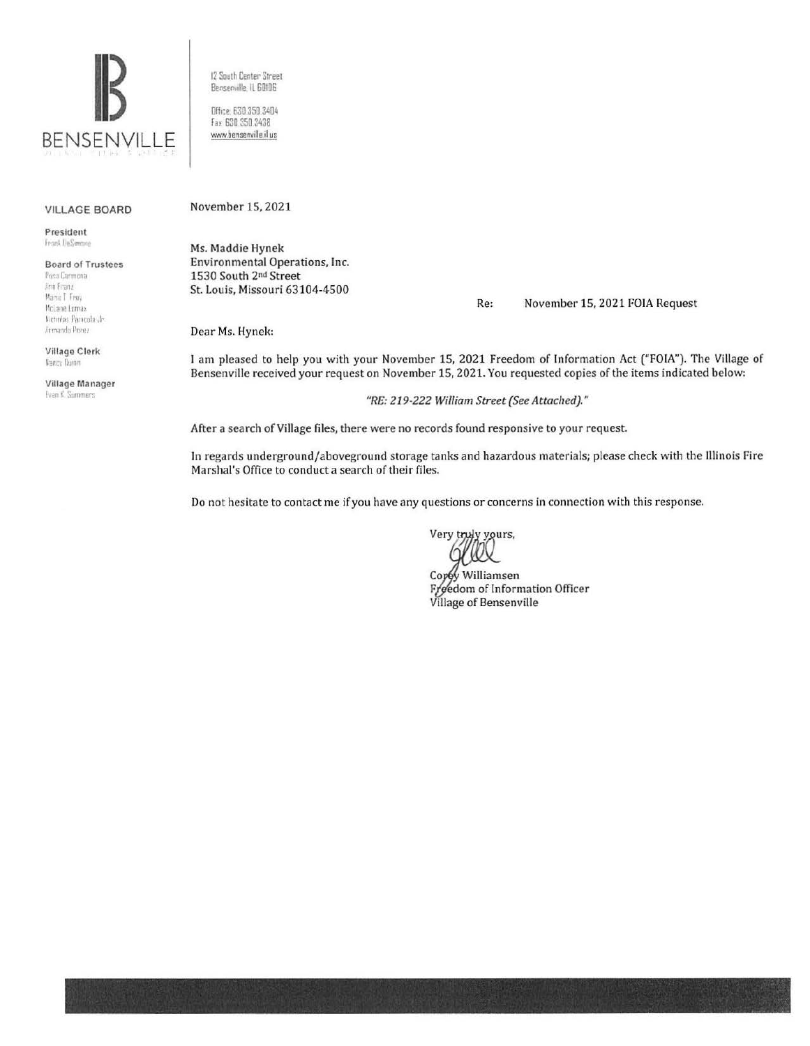

12 South Center Street Benserville, IL 60106

Dffice: 630.350.3404 Fax: 630 350 3438 www.bensenville.il.us

## VILLAGE BOARD

President Frank DeSembre

**Board of Trustees** Posa Garmona Ann Franz Marie T Frey McLane Lomax

Biennias Pamenia de Armando Perez Village Clerk

Nancy Dunn

Village Manager Even K. Summers

November 15, 2021

Ms. Maddie Hynek Environmental Operations, Inc. 1530 South 2nd Street St. Louis, Missouri 63104-4500

Re: November 15, 2021 FOIA Request

Dear Ms. Hynek:

I am pleased to help you with your November 15, 2021 Freedom of Information Act ("FOIA"). The Village of Bensenville received your request on November 15, 2021. You requested copies of the items indicated below:

"RE: 219-222 William Street (See Attached)."

After a search of Village files, there were no records found responsive to your request.

In regards underground/aboveground storage tanks and hazardous materials; please check with the Illinois Fire Marshal's Office to conduct a search of their files.

Do not hesitate to contact me if you have any questions or concerns in connection with this response.

Very truly yours,

Copy Williamsen Freedom of Information Officer Village of Bensenville